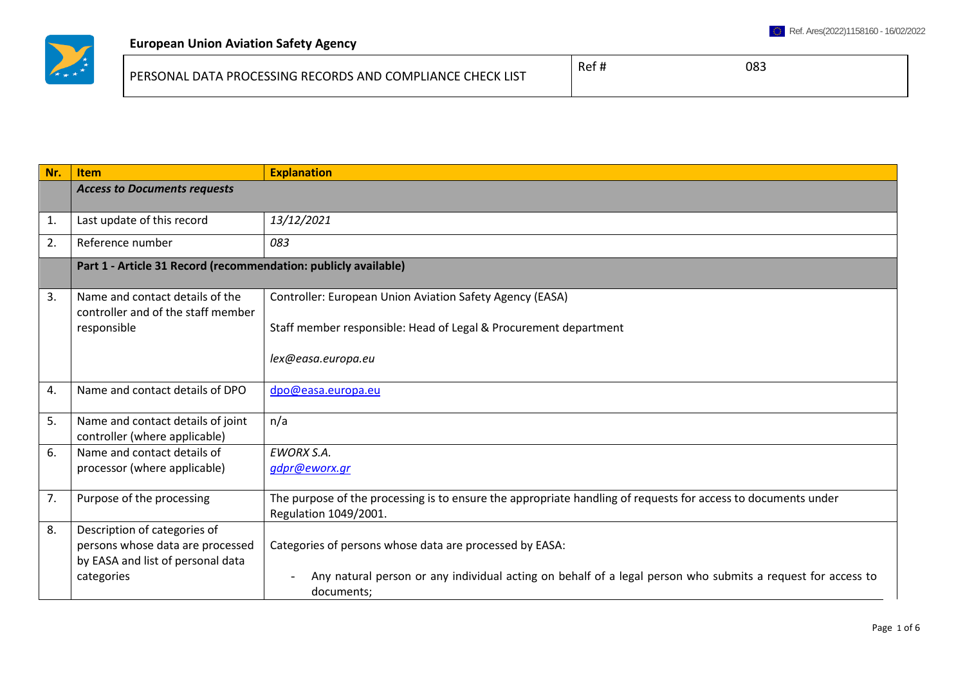

| PERSONAL DATA PROCESSING RECORDS AND COMPLIANCE<br>E CHECK LIST | Ref h | 083 |
|-----------------------------------------------------------------|-------|-----|
|-----------------------------------------------------------------|-------|-----|

| Nr. | <b>Item</b>                                                           | <b>Explanation</b>                                                                                                                     |  |
|-----|-----------------------------------------------------------------------|----------------------------------------------------------------------------------------------------------------------------------------|--|
|     | <b>Access to Documents requests</b>                                   |                                                                                                                                        |  |
| 1.  | Last update of this record                                            | 13/12/2021                                                                                                                             |  |
| 2.  | Reference number                                                      | 083                                                                                                                                    |  |
|     | Part 1 - Article 31 Record (recommendation: publicly available)       |                                                                                                                                        |  |
| 3.  | Name and contact details of the<br>controller and of the staff member | Controller: European Union Aviation Safety Agency (EASA)                                                                               |  |
|     | responsible                                                           | Staff member responsible: Head of Legal & Procurement department                                                                       |  |
|     |                                                                       | lex@easa.europa.eu                                                                                                                     |  |
| 4.  | Name and contact details of DPO                                       | dpo@easa.europa.eu                                                                                                                     |  |
| 5.  | Name and contact details of joint<br>controller (where applicable)    | n/a                                                                                                                                    |  |
| 6.  | Name and contact details of                                           | <b>EWORX S.A.</b>                                                                                                                      |  |
|     | processor (where applicable)                                          | gdpr@eworx.gr                                                                                                                          |  |
| 7.  | Purpose of the processing                                             | The purpose of the processing is to ensure the appropriate handling of requests for access to documents under<br>Regulation 1049/2001. |  |
| 8.  | Description of categories of                                          |                                                                                                                                        |  |
|     | persons whose data are processed                                      | Categories of persons whose data are processed by EASA:                                                                                |  |
|     | by EASA and list of personal data                                     |                                                                                                                                        |  |
|     | categories                                                            | Any natural person or any individual acting on behalf of a legal person who submits a request for access to<br>documents;              |  |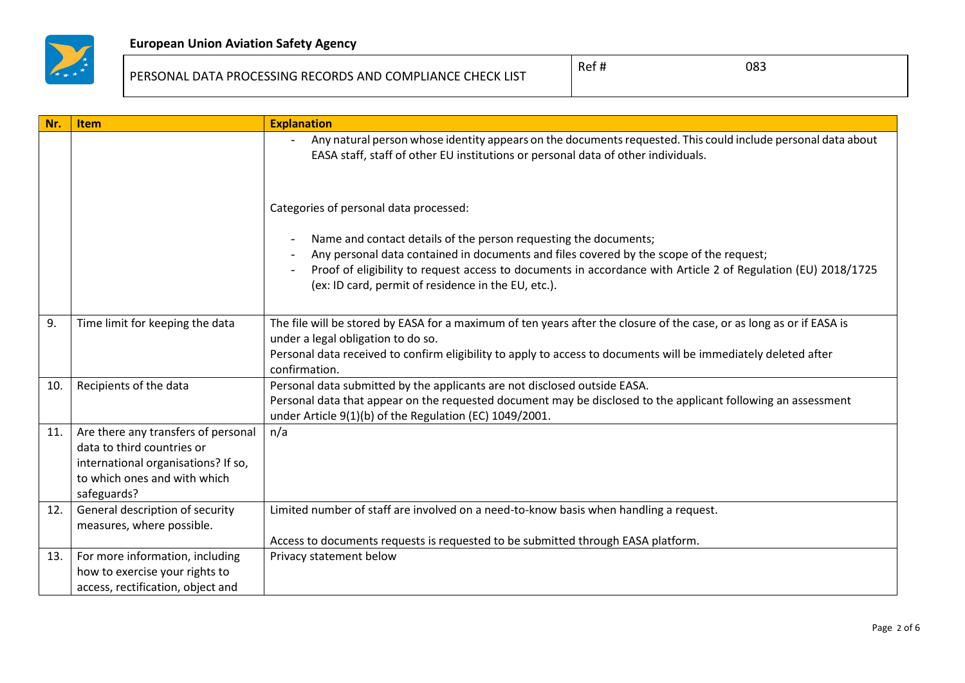

## PERSONAL DATA PROCESSING RECORDS AND COMPLIANCE CHECK LIST

| Nr. | <b>Item</b>                                                                                                                                             | <b>Explanation</b>                                                                                                                                                                                                                                                                                                                  |
|-----|---------------------------------------------------------------------------------------------------------------------------------------------------------|-------------------------------------------------------------------------------------------------------------------------------------------------------------------------------------------------------------------------------------------------------------------------------------------------------------------------------------|
|     |                                                                                                                                                         | Any natural person whose identity appears on the documents requested. This could include personal data about<br>EASA staff, staff of other EU institutions or personal data of other individuals.                                                                                                                                   |
|     |                                                                                                                                                         | Categories of personal data processed:                                                                                                                                                                                                                                                                                              |
|     |                                                                                                                                                         | Name and contact details of the person requesting the documents;<br>Any personal data contained in documents and files covered by the scope of the request;<br>Proof of eligibility to request access to documents in accordance with Article 2 of Regulation (EU) 2018/1725<br>(ex: ID card, permit of residence in the EU, etc.). |
| 9.  | Time limit for keeping the data                                                                                                                         | The file will be stored by EASA for a maximum of ten years after the closure of the case, or as long as or if EASA is<br>under a legal obligation to do so.<br>Personal data received to confirm eligibility to apply to access to documents will be immediately deleted after<br>confirmation.                                     |
| 10. | Recipients of the data                                                                                                                                  | Personal data submitted by the applicants are not disclosed outside EASA.<br>Personal data that appear on the requested document may be disclosed to the applicant following an assessment<br>under Article 9(1)(b) of the Regulation (EC) 1049/2001.                                                                               |
| 11. | Are there any transfers of personal<br>data to third countries or<br>international organisations? If so,<br>to which ones and with which<br>safeguards? | n/a                                                                                                                                                                                                                                                                                                                                 |
| 12. | General description of security<br>measures, where possible.                                                                                            | Limited number of staff are involved on a need-to-know basis when handling a request.<br>Access to documents requests is requested to be submitted through EASA platform.                                                                                                                                                           |
| 13. | For more information, including<br>how to exercise your rights to<br>access, rectification, object and                                                  | Privacy statement below                                                                                                                                                                                                                                                                                                             |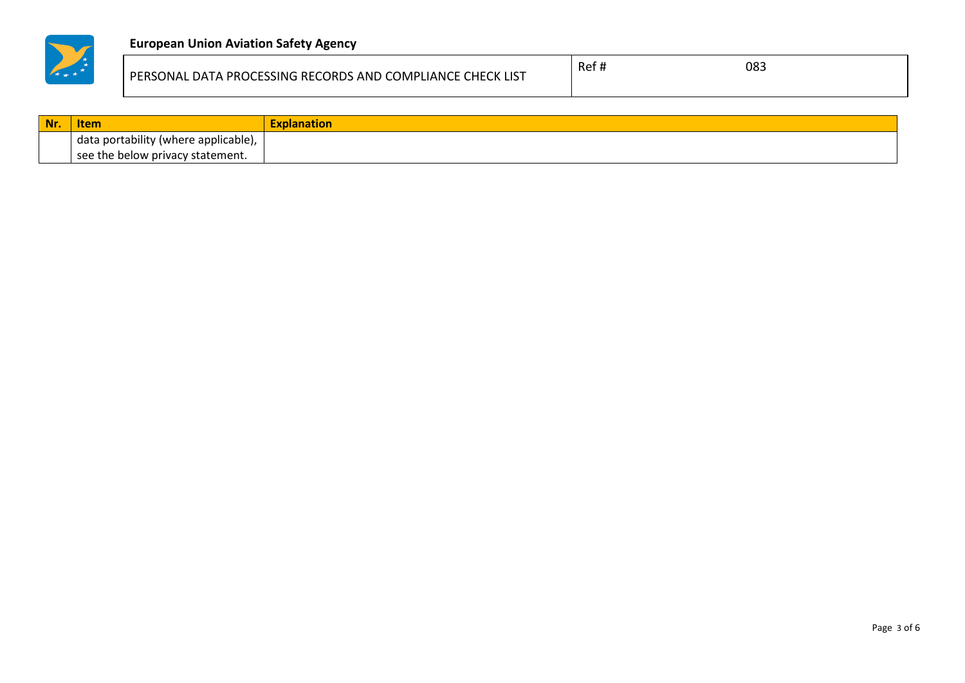

## **European Union Aviation Safety Agency**

| PERSONAL DATA PROCESSING RECORDS AND COMPLIANCE CHECK LIST | Ref | 083 |
|------------------------------------------------------------|-----|-----|
|                                                            |     |     |

| Nr. | <b>Item</b>                          | <b>Explanation</b> |
|-----|--------------------------------------|--------------------|
|     | data portability (where applicable), |                    |
|     | see the below privacy statement.     |                    |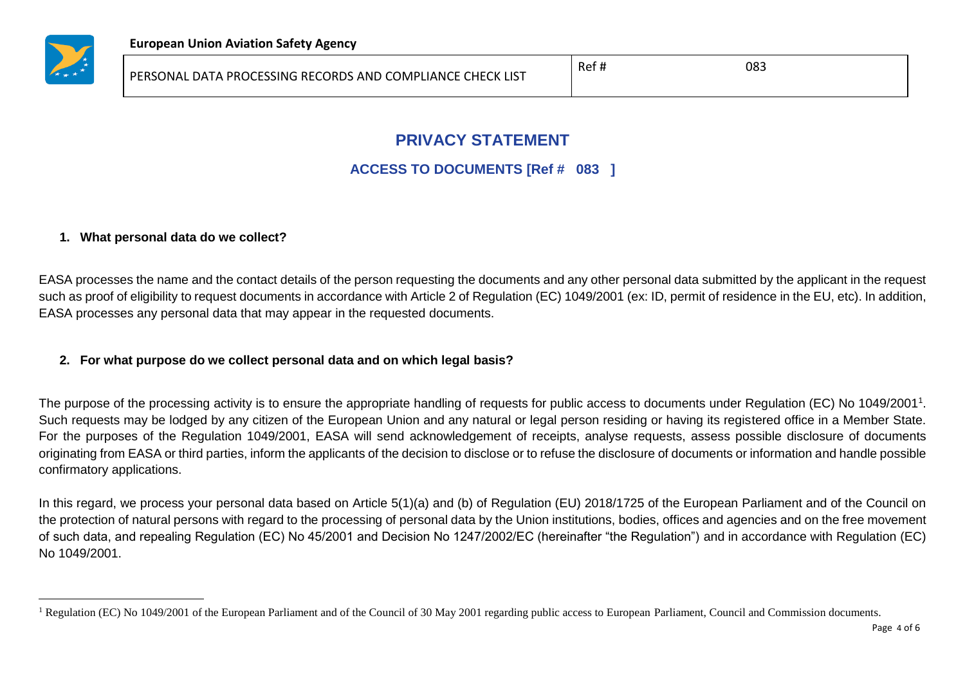

 $\overline{a}$ 

# **PRIVACY STATEMENT**

## **ACCESS TO DOCUMENTS [Ref # 083 ]**

### **1. What personal data do we collect?**

EASA processes the name and the contact details of the person requesting the documents and any other personal data submitted by the applicant in the request such as proof of eligibility to request documents in accordance with Article 2 of Regulation (EC) 1049/2001 (ex: ID, permit of residence in the EU, etc). In addition, EASA processes any personal data that may appear in the requested documents.

### **2. For what purpose do we collect personal data and on which legal basis?**

The purpose of the processing activity is to ensure the appropriate handling of requests for public access to documents under Regulation (EC) No 1049/2001<sup>1</sup>. Such requests may be lodged by any citizen of the European Union and any natural or legal person residing or having its registered office in a Member State. For the purposes of the Regulation 1049/2001, EASA will send acknowledgement of receipts, analyse requests, assess possible disclosure of documents originating from EASA or third parties, inform the applicants of the decision to disclose or to refuse the disclosure of documents or information and handle possible confirmatory applications.

In this regard, we process your personal data based on Article 5(1)(a) and (b) of Regulation (EU) 2018/1725 of the European Parliament and of the Council on the protection of natural persons with regard to the processing of personal data by the Union institutions, bodies, offices and agencies and on the free movement of such data, and repealing Regulation (EC) No 45/2001 and Decision No 1247/2002/EC (hereinafter "the Regulation") and in accordance with Regulation (EC) No 1049/2001.

<sup>&</sup>lt;sup>1</sup> Regulation (EC) No 1049/2001 of the European Parliament and of the Council of 30 May 2001 regarding public access to European Parliament, Council and Commission documents.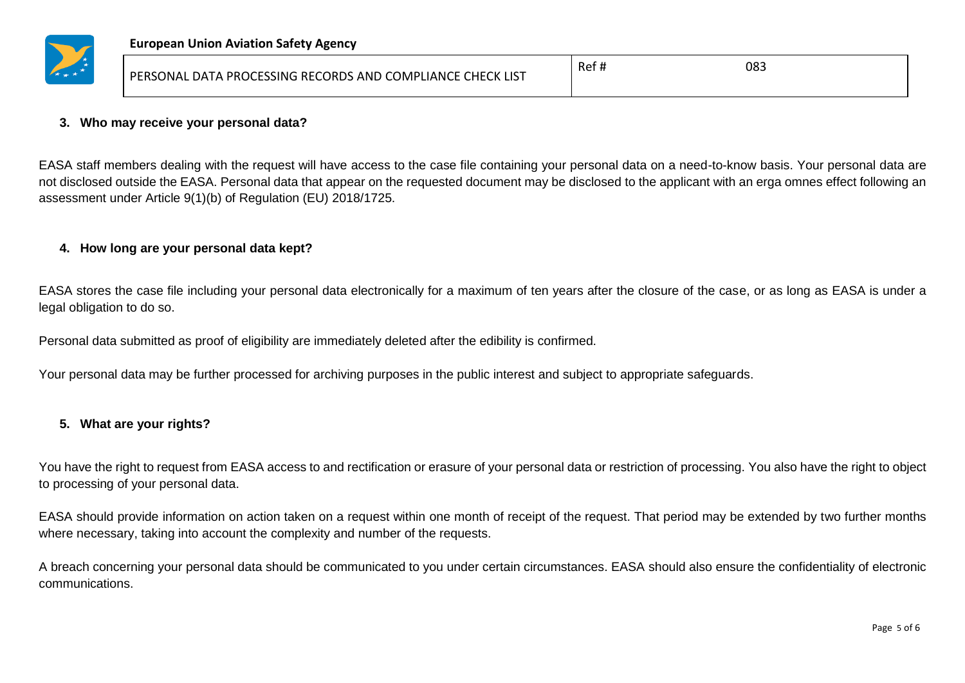

|  | PERSONAL DATA PROCESSING RECORDS AND COMPLIANCE CHECK LIST | -Re. | 083 |
|--|------------------------------------------------------------|------|-----|
|--|------------------------------------------------------------|------|-----|

#### **3. Who may receive your personal data?**

EASA staff members dealing with the request will have access to the case file containing your personal data on a need-to-know basis. Your personal data are not disclosed outside the EASA. Personal data that appear on the requested document may be disclosed to the applicant with an erga omnes effect following an assessment under Article 9(1)(b) of Regulation (EU) 2018/1725.

#### **4. How long are your personal data kept?**

EASA stores the case file including your personal data electronically for a maximum of ten years after the closure of the case, or as long as EASA is under a legal obligation to do so.

Personal data submitted as proof of eligibility are immediately deleted after the edibility is confirmed.

Your personal data may be further processed for archiving purposes in the public interest and subject to appropriate safeguards.

#### **5. What are your rights?**

You have the right to request from EASA access to and rectification or erasure of your personal data or restriction of processing. You also have the right to object to processing of your personal data.

EASA should provide information on action taken on a request within one month of receipt of the request. That period may be extended by two further months where necessary, taking into account the complexity and number of the requests.

A breach concerning your personal data should be communicated to you under certain circumstances. EASA should also ensure the confidentiality of electronic communications.